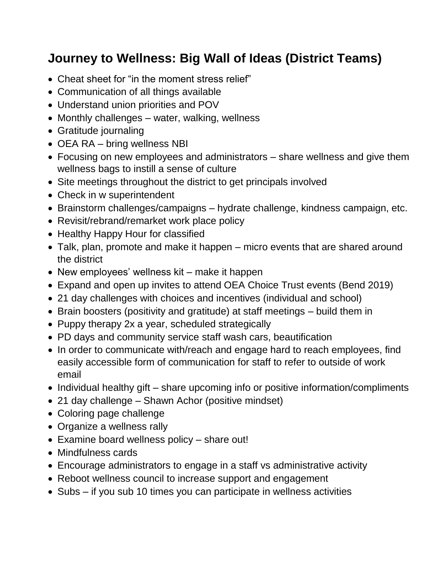## **Journey to Wellness: Big Wall of Ideas (District Teams)**

- Cheat sheet for "in the moment stress relief"
- Communication of all things available
- Understand union priorities and POV
- Monthly challenges water, walking, wellness
- Gratitude journaling
- OEA RA bring wellness NBI
- Focusing on new employees and administrators share wellness and give them wellness bags to instill a sense of culture
- Site meetings throughout the district to get principals involved
- Check in w superintendent
- Brainstorm challenges/campaigns hydrate challenge, kindness campaign, etc.
- Revisit/rebrand/remarket work place policy
- Healthy Happy Hour for classified
- Talk, plan, promote and make it happen micro events that are shared around the district
- New employees' wellness kit make it happen
- Expand and open up invites to attend OEA Choice Trust events (Bend 2019)
- 21 day challenges with choices and incentives (individual and school)
- Brain boosters (positivity and gratitude) at staff meetings build them in
- Puppy therapy 2x a year, scheduled strategically
- PD days and community service staff wash cars, beautification
- In order to communicate with/reach and engage hard to reach employees, find easily accessible form of communication for staff to refer to outside of work email
- Individual healthy gift share upcoming info or positive information/compliments
- 21 day challenge Shawn Achor (positive mindset)
- Coloring page challenge
- Organize a wellness rally
- Examine board wellness policy share out!
- Mindfulness cards
- Encourage administrators to engage in a staff vs administrative activity
- Reboot wellness council to increase support and engagement
- Subs if you sub 10 times you can participate in wellness activities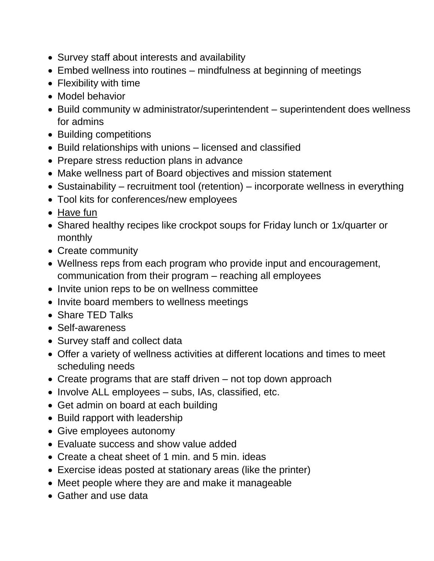- Survey staff about interests and availability
- Embed wellness into routines mindfulness at beginning of meetings
- Flexibility with time
- Model behavior
- Build community w administrator/superintendent superintendent does wellness for admins
- Building competitions
- Build relationships with unions licensed and classified
- Prepare stress reduction plans in advance
- Make wellness part of Board objectives and mission statement
- Sustainability recruitment tool (retention) incorporate wellness in everything
- Tool kits for conferences/new employees
- Have fun
- Shared healthy recipes like crockpot soups for Friday lunch or 1x/quarter or monthly
- Create community
- Wellness reps from each program who provide input and encouragement, communication from their program – reaching all employees
- Invite union reps to be on wellness committee
- Invite board members to wellness meetings
- Share TED Talks
- Self-awareness
- Survey staff and collect data
- Offer a variety of wellness activities at different locations and times to meet scheduling needs
- Create programs that are staff driven not top down approach
- Involve ALL employees subs, IAs, classified, etc.
- Get admin on board at each building
- Build rapport with leadership
- Give employees autonomy
- Evaluate success and show value added
- Create a cheat sheet of 1 min. and 5 min. ideas
- Exercise ideas posted at stationary areas (like the printer)
- Meet people where they are and make it manageable
- Gather and use data